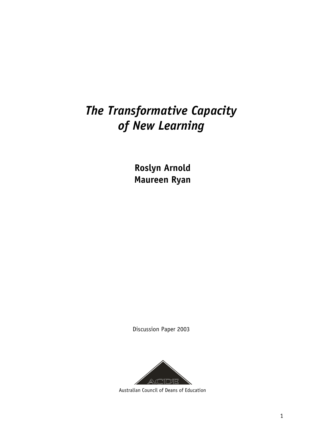# *The Transformative Capacity of New Learning*

**Roslyn Arnold Maureen Ryan**

Discussion Paper 2003



Australian Council of Deans of Education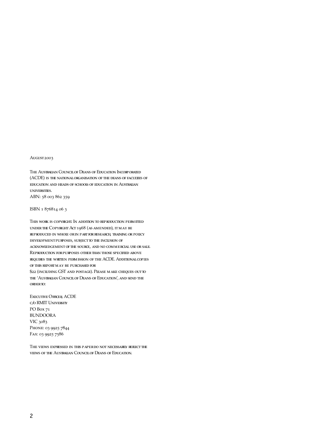#### August 2003

The Australian Council of Deans of Education Incorporated (ACDE) is the national organisation of the deans of faculties of education and heads of schools of education in Australian universities.

ABN: 58 003 862 359

ISBN 1 876814 06 3

This work is copyright. In addition to reproduction permitted under the Copyright Act 1968 (as amended), it may be reproduced in whole or in part for research, training or policy development purposes, subject to the inclusion of acknowledgement of the source, and no commercial use or sale. Reproduction for purposes other than those specified above requires the written permission of the ACDE. Additional copies of this report may be purchased for \$22 (including GST and postage). Please make cheques out to

the 'Australian Council of Deans of Education', and send the order to:

Executive Officer, ACDE c/o RMIT University PO Box 71 BUNDOORA VIC 3083 PHONE: 03 9925 7844 Fax: 03 9925 7586

THE VIEWS EXPRESSED IN THIS PAPER DO NOT NECESSARILY REFLECT THE views of the Australian Council of Deans of Education.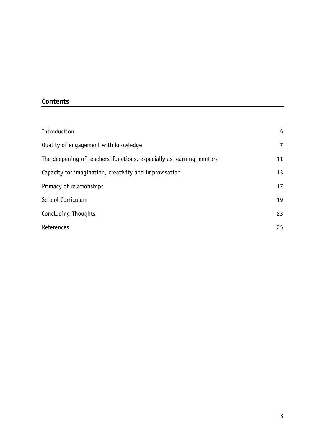### **Contents**

| Introduction                                                         | 5              |
|----------------------------------------------------------------------|----------------|
| Quality of engagement with knowledge                                 | $\overline{7}$ |
| The deepening of teachers' functions, especially as learning mentors | 11             |
| Capacity for imagination, creativity and improvisation               | 13             |
| Primacy of relationships                                             | 17             |
| School Curriculum                                                    | 19             |
| Concluding Thoughts                                                  | 23             |
| References                                                           | 25             |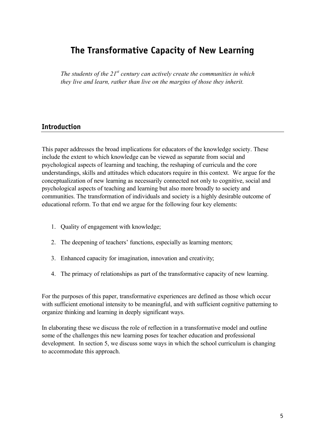## **The Transformative Capacity of New Learning**

*The students of the 21st century can actively create the communities in which they live and learn, rather than live on the margins of those they inherit.* 

#### **Introduction**

This paper addresses the broad implications for educators of the knowledge society. These include the extent to which knowledge can be viewed as separate from social and psychological aspects of learning and teaching, the reshaping of curricula and the core understandings, skills and attitudes which educators require in this context. We argue for the conceptualization of new learning as necessarily connected not only to cognitive, social and psychological aspects of teaching and learning but also more broadly to society and communities. The transformation of individuals and society is a highly desirable outcome of educational reform. To that end we argue for the following four key elements:

- 1. Quality of engagement with knowledge;
- 2. The deepening of teachers' functions, especially as learning mentors;
- 3. Enhanced capacity for imagination, innovation and creativity;
- 4. The primacy of relationships as part of the transformative capacity of new learning.

For the purposes of this paper, transformative experiences are defined as those which occur with sufficient emotional intensity to be meaningful, and with sufficient cognitive patterning to organize thinking and learning in deeply significant ways.

In elaborating these we discuss the role of reflection in a transformative model and outline some of the challenges this new learning poses for teacher education and professional development. In section 5, we discuss some ways in which the school curriculum is changing to accommodate this approach.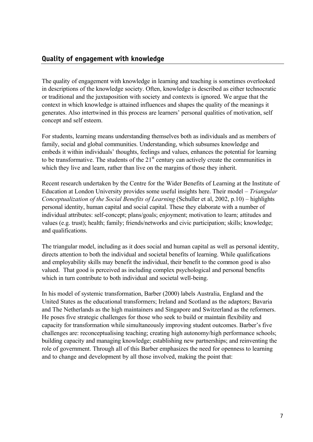#### **Quality of engagement with knowledge**

The quality of engagement with knowledge in learning and teaching is sometimes overlooked in descriptions of the knowledge society. Often, knowledge is described as either technocratic or traditional and the juxtaposition with society and contexts is ignored. We argue that the context in which knowledge is attained influences and shapes the quality of the meanings it generates. Also intertwined in this process are learners' personal qualities of motivation, self concept and self esteem.

For students, learning means understanding themselves both as individuals and as members of family, social and global communities. Understanding, which subsumes knowledge and embeds it within individuals' thoughts, feelings and values, enhances the potential for learning to be transformative. The students of the  $21<sup>st</sup>$  century can actively create the communities in which they live and learn, rather than live on the margins of those they inherit.

Recent research undertaken by the Centre for the Wider Benefits of Learning at the Institute of Education at London University provides some useful insights here. Their model – *Triangular Conceptualization of the Social Benefits of Learning* (Schuller et al, 2002, p.10) – highlights personal identity, human capital and social capital. These they elaborate with a number of individual attributes: self-concept; plans/goals; enjoyment; motivation to learn; attitudes and values (e.g. trust); health; family; friends/networks and civic participation; skills; knowledge; and qualifications.

The triangular model, including as it does social and human capital as well as personal identity, directs attention to both the individual and societal benefits of learning. While qualifications and employability skills may benefit the individual, their benefit to the common good is also valued. That good is perceived as including complex psychological and personal benefits which in turn contribute to both individual and societal well-being.

In his model of systemic transformation, Barber (2000) labels Australia, England and the United States as the educational transformers; Ireland and Scotland as the adaptors; Bavaria and The Netherlands as the high maintainers and Singapore and Switzerland as the reformers. He poses five strategic challenges for those who seek to build or maintain flexibility and capacity for transformation while simultaneously improving student outcomes. Barber's five challenges are: reconceptualising teaching; creating high autonomy/high performance schools; building capacity and managing knowledge; establishing new partnerships; and reinventing the role of government. Through all of this Barber emphasizes the need for openness to learning and to change and development by all those involved, making the point that: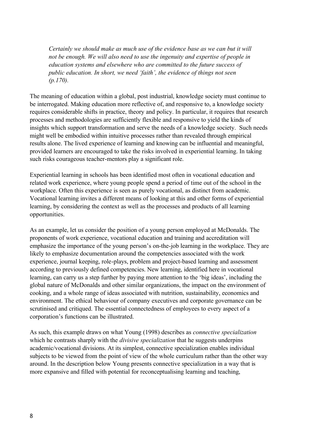*Certainly we should make as much use of the evidence base as we can but it will not be enough. We will also need to use the ingenuity and expertise of people in education systems and elsewhere who are committed to the future success of public education. In short, we need 'faith', the evidence of things not seen (p.170).*

The meaning of education within a global, post industrial, knowledge society must continue to be interrogated. Making education more reflective of, and responsive to, a knowledge society requires considerable shifts in practice, theory and policy. In particular, it requires that research processes and methodologies are sufficiently flexible and responsive to yield the kinds of insights which support transformation and serve the needs of a knowledge society. Such needs might well be embodied within intuitive processes rather than revealed through empirical results alone. The lived experience of learning and knowing can be influential and meaningful, provided learners are encouraged to take the risks involved in experiential learning. In taking such risks courageous teacher-mentors play a significant role.

Experiential learning in schools has been identified most often in vocational education and related work experience, where young people spend a period of time out of the school in the workplace. Often this experience is seen as purely vocational, as distinct from academic. Vocational learning invites a different means of looking at this and other forms of experiential learning, by considering the context as well as the processes and products of all learning opportunities.

As an example, let us consider the position of a young person employed at McDonalds. The proponents of work experience, vocational education and training and accreditation will emphasize the importance of the young person's on-the-job learning in the workplace. They are likely to emphasize documentation around the competencies associated with the work experience, journal keeping, role-plays, problem and project-based learning and assessment according to previously defined competencies. New learning, identified here in vocational learning, can carry us a step further by paying more attention to the 'big ideas', including the global nature of McDonalds and other similar organizations, the impact on the environment of cooking, and a whole range of ideas associated with nutrition, sustainability, economics and environment. The ethical behaviour of company executives and corporate governance can be scrutinised and critiqued. The essential connectedness of employees to every aspect of a corporation's functions can be illustrated.

As such, this example draws on what Young (1998) describes as *connective specialization* which he contrasts sharply with the *divisive specialization* that he suggests underpins academic/vocational divisions. At its simplest, connective specialization enables individual subjects to be viewed from the point of view of the whole curriculum rather than the other way around. In the description below Young presents connective specialization in a way that is more expansive and filled with potential for reconceptualising learning and teaching,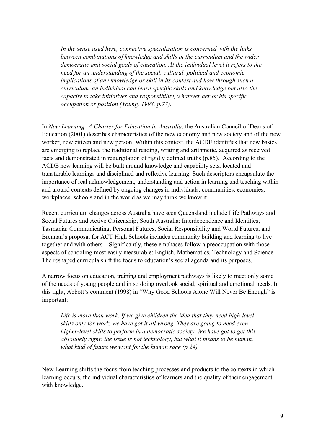*In the sense used here, connective specialization is concerned with the links between combinations of knowledge and skills in the curriculum and the wider democratic and social goals of education. At the individual level it refers to the need for an understanding of the social, cultural, political and economic implications of any knowledge or skill in its context and how through such a curriculum, an individual can learn specific skills and knowledge but also the capacity to take initiatives and responsibility, whatever her or his specific occupation or position (Young, 1998, p.77).* 

In *New Learning: A Charter for Education in Australia,* the Australian Council of Deans of Education (2001) describes characteristics of the new economy and new society and of the new worker, new citizen and new person. Within this context, the ACDE identifies that new basics are emerging to replace the traditional reading, writing and arithmetic, acquired as received facts and demonstrated in regurgitation of rigidly defined truths (p.85). According to the ACDE new learning will be built around knowledge and capability sets, located and transferable learnings and disciplined and reflexive learning. Such descriptors encapsulate the importance of real acknowledgement, understanding and action in learning and teaching within and around contexts defined by ongoing changes in individuals, communities, economies, workplaces, schools and in the world as we may think we know it.

Recent curriculum changes across Australia have seen Queensland include Life Pathways and Social Futures and Active Citizenship; South Australia: Interdependence and Identities; Tasmania: Communicating, Personal Futures, Social Responsibility and World Futures; and Brennan's proposal for ACT High Schools includes community building and learning to live together and with others. Significantly, these emphases follow a preoccupation with those aspects of schooling most easily measurable: English, Mathematics, Technology and Science. The reshaped curricula shift the focus to education's social agenda and its purposes.

A narrow focus on education, training and employment pathways is likely to meet only some of the needs of young people and in so doing overlook social, spiritual and emotional needs. In this light, Abbott's comment (1998) in "Why Good Schools Alone Will Never Be Enough" is important:

*Life is more than work. If we give children the idea that they need high-level skills only for work, we have got it all wrong. They are going to need even higher-level skills to perform in a democratic society. We have got to get this absolutely right: the issue is not technology, but what it means to be human, what kind of future we want for the human race (p.24).*

New Learning shifts the focus from teaching processes and products to the contexts in which learning occurs, the individual characteristics of learners and the quality of their engagement with knowledge.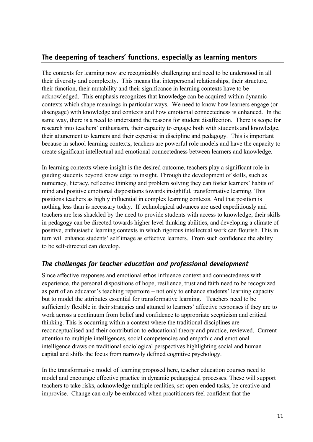#### **The deepening of teachers' functions, especially as learning mentors**

The contexts for learning now are recognizably challenging and need to be understood in all their diversity and complexity. This means that interpersonal relationships, their structure, their function, their mutability and their significance in learning contexts have to be acknowledged. This emphasis recognizes that knowledge can be acquired within dynamic contexts which shape meanings in particular ways. We need to know how learners engage (or disengage) with knowledge and contexts and how emotional connectedness is enhanced. In the same way, there is a need to understand the reasons for student disaffection. There is scope for research into teachers' enthusiasm, their capacity to engage both with students and knowledge, their attunement to learners and their expertise in discipline and pedagogy. This is important because in school learning contexts, teachers are powerful role models and have the capacity to create significant intellectual and emotional connectedness between learners and knowledge.

In learning contexts where insight is the desired outcome, teachers play a significant role in guiding students beyond knowledge to insight. Through the development of skills, such as numeracy, literacy, reflective thinking and problem solving they can foster learners' habits of mind and positive emotional dispositions towards insightful, transformative learning. This positions teachers as highly influential in complex learning contexts. And that position is nothing less than is necessary today. If technological advances are used expeditiously and teachers are less shackled by the need to provide students with access to knowledge, their skills in pedagogy can be directed towards higher level thinking abilities, and developing a climate of positive, enthusiastic learning contexts in which rigorous intellectual work can flourish. This in turn will enhance students' self image as effective learners. From such confidence the ability to be self-directed can develop.

### *The challenges for teacher education and professional development*

Since affective responses and emotional ethos influence context and connectedness with experience, the personal dispositions of hope, resilience, trust and faith need to be recognized as part of an educator's teaching repertoire – not only to enhance students' learning capacity but to model the attributes essential for transformative learning. Teachers need to be sufficiently flexible in their strategies and attuned to learners' affective responses if they are to work across a continuum from belief and confidence to appropriate scepticism and critical thinking. This is occurring within a context where the traditional disciplines are reconceptualised and their contribution to educational theory and practice, reviewed. Current attention to multiple intelligences, social competencies and empathic and emotional intelligence draws on traditional sociological perspectives highlighting social and human capital and shifts the focus from narrowly defined cognitive psychology.

In the transformative model of learning proposed here, teacher education courses need to model and encourage effective practice in dynamic pedagogical processes. These will support teachers to take risks, acknowledge multiple realities, set open-ended tasks, be creative and improvise. Change can only be embraced when practitioners feel confident that the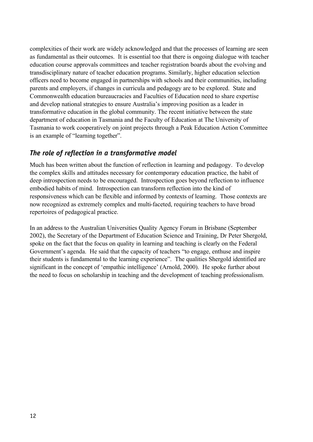complexities of their work are widely acknowledged and that the processes of learning are seen as fundamental as their outcomes. It is essential too that there is ongoing dialogue with teacher education course approvals committees and teacher registration boards about the evolving and transdisciplinary nature of teacher education programs. Similarly, higher education selection officers need to become engaged in partnerships with schools and their communities, including parents and employers, if changes in curricula and pedagogy are to be explored. State and Commonwealth education bureaucracies and Faculties of Education need to share expertise and develop national strategies to ensure Australia's improving position as a leader in transformative education in the global community. The recent initiative between the state department of education in Tasmania and the Faculty of Education at The University of Tasmania to work cooperatively on joint projects through a Peak Education Action Committee is an example of "learning together".

#### *The role of reflection in a transformative model*

Much has been written about the function of reflection in learning and pedagogy. To develop the complex skills and attitudes necessary for contemporary education practice, the habit of deep introspection needs to be encouraged. Introspection goes beyond reflection to influence embodied habits of mind. Introspection can transform reflection into the kind of responsiveness which can be flexible and informed by contexts of learning. Those contexts are now recognized as extremely complex and multi-faceted, requiring teachers to have broad repertoires of pedagogical practice.

In an address to the Australian Universities Quality Agency Forum in Brisbane (September 2002), the Secretary of the Department of Education Science and Training, Dr Peter Shergold, spoke on the fact that the focus on quality in learning and teaching is clearly on the Federal Government's agenda. He said that the capacity of teachers "to engage, enthuse and inspire their students is fundamental to the learning experience". The qualities Shergold identified are significant in the concept of 'empathic intelligence' (Arnold, 2000). He spoke further about the need to focus on scholarship in teaching and the development of teaching professionalism.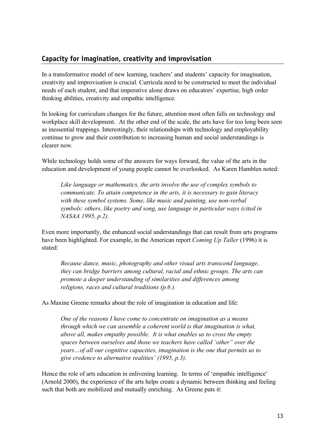#### **Capacity for imagination, creativity and improvisation**

In a transformative model of new learning, teachers' and students' capacity for imagination, creativity and improvisation is crucial. Curricula need to be constructed to meet the individual needs of each student, and that imperative alone draws on educators' expertise, high order thinking abilities, creativity and empathic intelligence.

In looking for curriculum changes for the future, attention most often falls on technology and workplace skill development. At the other end of the scale, the arts have for too long been seen as inessential trappings. Interestingly, their relationships with technology and employability continue to grow and their contribution to increasing human and social understandings is clearer now*.* 

While technology holds some of the answers for ways forward, the value of the arts in the education and development of young people cannot be overlooked. As Karen Hamblen noted:

*Like language or mathematics, the arts involve the use of complex symbols to communicate. To attain competence in the arts, it is necessary to gain literacy with these symbol systems. Some, like music and painting, use non-verbal symbols: others, like poetry and song, use language in particular ways (cited in NASAA 1995, p.2).* 

Even more importantly, the enhanced social understandings that can result from arts programs have been highlighted. For example, in the American report *Coming Up Taller* (1996) it is stated:

*Because dance, music, photography and other visual arts transcend language, they can bridge barriers among cultural, racial and ethnic groups. The arts can promote a deeper understanding of similarities and differences among religions, races and cultural traditions (p.6 ).*

As Maxine Greene remarks about the role of imagination in education and life:

*One of the reasons I have come to concentrate on imagination as a means through which we can assemble a coherent world is that imagination is what, above all, makes empathy possible. It is what enables us to cross the empty spaces between ourselves and those we teachers have called 'other" over the years…of all our cognitive capacities, imagination is the one that permits us to give credence to alternative realities' (1995, p.3).* 

Hence the role of arts education in enlivening learning. In terms of 'empathic intelligence' (Arnold 2000), the experience of the arts helps create a dynamic between thinking and feeling such that both are mobilized and mutually enriching. As Greene puts it: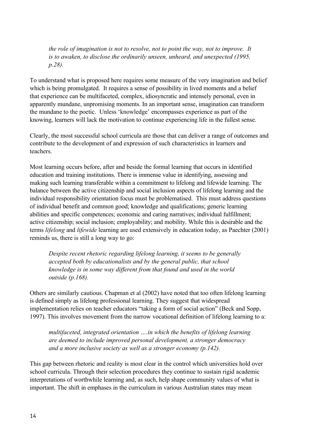*the role of imagination is not to resolve, not to point the way, not to improve. It is to awaken, to disclose the ordinarily unseen, unheard, and unexpected (1995, p.28).* 

To understand what is proposed here requires some measure of the very imagination and belief which is being promulgated. It requires a sense of possibility in lived moments and a belief that experience can be multifaceted, complex, idiosyncratic and intensely personal, even in apparently mundane, unpromising moments. In an important sense, imagination can transform the mundane to the poetic. Unless 'knowledge' encompasses experience as part of the knowing, learners will lack the motivation to continue experiencing life in the fullest sense.

Clearly, the most successful school curricula are those that can deliver a range of outcomes and contribute to the development of and expression of such characteristics in learners and teachers.

Most learning occurs before, after and beside the formal learning that occurs in identified education and training institutions. There is immense value in identifying, assessing and making such learning transferable within a commitment to lifelong and lifewide learning. The balance between the active citizenship and social inclusion aspects of lifelong learning and the individual responsibility orientation focus must be problematised. This must address questions of individual benefit and common good; knowledge and qualifications; generic learning abilities and specific competences; economic and caring narratives; individual fulfillment; active citizenship; social inclusion; employability; and mobility. While this is desirable and the terms *lifelong* and *lifewide* learning are used extensively in education today, as Paechter (2001) reminds us, there is still a long way to go:

*Despite recent rhetoric regarding lifelong learning, it seems to be generally accepted both by educationalists and by the general public, that school knowledge is in some way different from that found and used in the world outside (p.168).*

Others are similarly cautious. Chapman et al (2002) have noted that too often lifelong learning is defined simply as lifelong professional learning. They suggest that widespread implementation relies on teacher educators "taking a form of social action" (Beck and Sopp, 1997). This involves movement from the narrow vocational definition of lifelong learning to a:

*multifaceted, integrated orientation ….in which the benefits of lifelong learning are deemed to include improved personal development, a stronger democracy and a more inclusive society as well as a stronger economy (p.142).*

This gap between rhetoric and reality is most clear in the control which universities hold over school curricula. Through their selection procedures they continue to sustain rigid academic interpretations of worthwhile learning and, as such, help shape community values of what is important. The shift in emphases in the curriculum in various Australian states may mean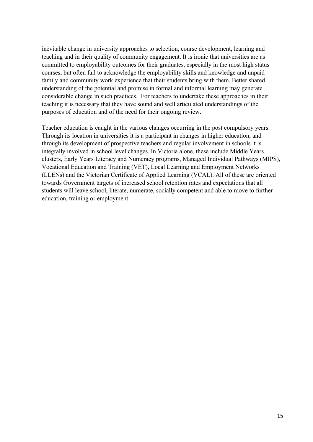inevitable change in university approaches to selection, course development, learning and teaching and in their quality of community engagement. It is ironic that universities are as committed to employability outcomes for their graduates, especially in the most high status courses, but often fail to acknowledge the employability skills and knowledge and unpaid family and community work experience that their students bring with them. Better shared understanding of the potential and promise in formal and informal learning may generate considerable change in such practices. For teachers to undertake these approaches in their teaching it is necessary that they have sound and well articulated understandings of the purposes of education and of the need for their ongoing review.

Teacher education is caught in the various changes occurring in the post compulsory years. Through its location in universities it is a participant in changes in higher education, and through its development of prospective teachers and regular involvement in schools it is integrally involved in school level changes. In Victoria alone, these include Middle Years clusters, Early Years Literacy and Numeracy programs, Managed Individual Pathways (MIPS), Vocational Education and Training (VET), Local Learning and Employment Networks (LLENs) and the Victorian Certificate of Applied Learning (VCAL). All of these are oriented towards Government targets of increased school retention rates and expectations that all students will leave school, literate, numerate, socially competent and able to move to further education, training or employment.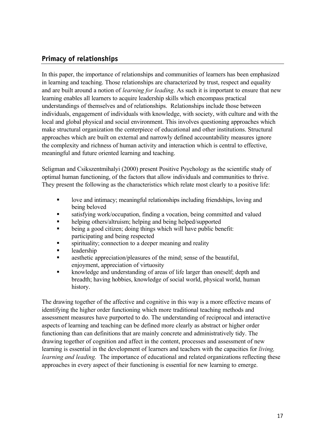### **Primacy of relationships**

In this paper, the importance of relationships and communities of learners has been emphasized in learning and teaching. Those relationships are characterized by trust, respect and equality and are built around a notion of *learning for leading*. As such it is important to ensure that new learning enables all learners to acquire leadership skills which encompass practical understandings of themselves and of relationships. Relationships include those between individuals, engagement of individuals with knowledge, with society, with culture and with the local and global physical and social environment. This involves questioning approaches which make structural organization the centerpiece of educational and other institutions. Structural approaches which are built on external and narrowly defined accountability measures ignore the complexity and richness of human activity and interaction which is central to effective, meaningful and future oriented learning and teaching.

Seligman and Csikszentmihalyi (2000) present Positive Psychology as the scientific study of optimal human functioning, of the factors that allow individuals and communities to thrive. They present the following as the characteristics which relate most clearly to a positive life:

- $\Box$  love and intimacy; meaningful relationships including friendships, loving and being beloved
- ß satisfying work/occupation, finding a vocation, being committed and valued
- helping others/altruism; helping and being helped/supported
- ß being a good citizen; doing things which will have public benefit: participating and being respected
- spirituality; connection to a deeper meaning and reality
- leadership
- ß aesthetic appreciation/pleasures of the mind; sense of the beautiful, enjoyment, appreciation of virtuosity
- ß knowledge and understanding of areas of life larger than oneself; depth and breadth; having hobbies, knowledge of social world, physical world, human history.

The drawing together of the affective and cognitive in this way is a more effective means of identifying the higher order functioning which more traditional teaching methods and assessment measures have purported to do. The understanding of reciprocal and interactive aspects of learning and teaching can be defined more clearly as abstract or higher order functioning than can definitions that are mainly concrete and administratively tidy. The drawing together of cognition and affect in the content, processes and assessment of new learning is essential in the development of learners and teachers with the capacities for *living, learning and leading.* The importance of educational and related organizations reflecting these approaches in every aspect of their functioning is essential for new learning to emerge.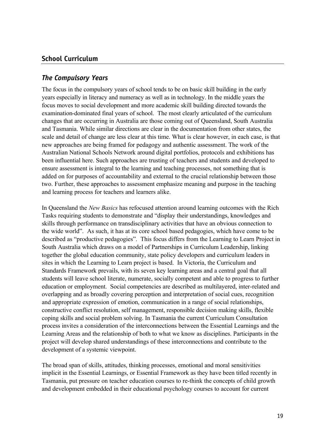#### **School Curriculum**

#### *The Compulsory Years*

The focus in the compulsory years of school tends to be on basic skill building in the early years especially in literacy and numeracy as well as in technology. In the middle years the focus moves to social development and more academic skill building directed towards the examination-dominated final years of school. The most clearly articulated of the curriculum changes that are occurring in Australia are those coming out of Queensland, South Australia and Tasmania. While similar directions are clear in the documentation from other states, the scale and detail of change are less clear at this time. What is clear however, in each case, is that new approaches are being framed for pedagogy and authentic assessment. The work of the Australian National Schools Network around digital portfolios, protocols and exhibitions has been influential here. Such approaches are trusting of teachers and students and developed to ensure assessment is integral to the learning and teaching processes, not something that is added on for purposes of accountability and external to the crucial relationship between those two. Further, these approaches to assessment emphasize meaning and purpose in the teaching and learning process for teachers and learners alike.

In Queensland the *New Basics* has refocused attention around learning outcomes with the Rich Tasks requiring students to demonstrate and "display their understandings, knowledges and skills through performance on transdisciplinary activities that have an obvious connection to the wide world".As such, it has at its core school based pedagogies, which have come to be described as "productive pedagogies". This focus differs from the Learning to Learn Project in South Australia which draws on a model of Partnerships in Curriculum Leadership, linking together the global education community, state policy developers and curriculum leaders in sites in which the Learning to Learn project is based. In Victoria, the Curriculum and Standards Framework prevails, with its seven key learning areas and a central goal that all students will leave school literate, numerate, socially competent and able to progress to further education or employment. Social competencies are described as multilayered, inter-related and overlapping and as broadly covering perception and interpretation of social cues, recognition and appropriate expression of emotion, communication in a range of social relationships, constructive conflict resolution, self management, responsible decision making skills, flexible coping skills and social problem solving. In Tasmania the current Curriculum Consultation process invites a consideration of the interconnections between the Essential Learnings and the Learning Areas and the relationship of both to what we know as disciplines. Participants in the project will develop shared understandings of these interconnections and contribute to the development of a systemic viewpoint.

The broad span of skills, attitudes, thinking processes, emotional and moral sensitivities implicit in the Essential Learnings, or Essential Framework as they have been titled recently in Tasmania, put pressure on teacher education courses to re-think the concepts of child growth and development embedded in their educational psychology courses to account for current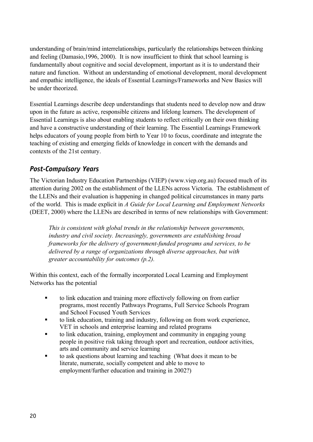understanding of brain/mind interrelationships, particularly the relationships between thinking and feeling (Damasio,1996, 2000). It is now insufficient to think that school learning is fundamentally about cognitive and social development, important as it is to understand their nature and function. Without an understanding of emotional development, moral development and empathic intelligence, the ideals of Essential Learnings/Frameworks and New Basics will be under theorized.

Essential Learnings describe deep understandings that students need to develop now and draw upon in the future as active, responsible citizens and lifelong learners. The development of Essential Learnings is also about enabling students to reflect critically on their own thinking and have a constructive understanding of their learning. The Essential Learnings Framework helps educators of young people from birth to Year 10 to focus, coordinate and integrate the teaching of existing and emerging fields of knowledge in concert with the demands and contexts of the 21st century.

### *Post-Compulsory Years*

The Victorian Industry Education Partnerships (VIEP) (www.viep.org.au) focused much of its attention during 2002 on the establishment of the LLENs across Victoria. The establishment of the LLENs and their evaluation is happening in changed political circumstances in many parts of the world. This is made explicit in *A Guide for Local Learning and Employment Networks* (DEET, 2000) where the LLENs are described in terms of new relationships with Government:

*This is consistent with global trends in the relationship between governments, industry and civil society. Increasingly, governments are establishing broad frameworks for the delivery of government-funded programs and services, to be delivered by a range of organizations through diverse approaches, but with greater accountability for outcomes (p.2).*

Within this context, each of the formally incorporated Local Learning and Employment Networks has the potential

- ß to link education and training more effectively following on from earlier programs, most recently Pathways Programs, Full Service Schools Program and School Focused Youth Services
- ß to link education, training and industry, following on from work experience, VET in schools and enterprise learning and related programs
- ß to link education, training, employment and community in engaging young people in positive risk taking through sport and recreation, outdoor activities, arts and community and service learning
- to ask questions about learning and teaching (What does it mean to be literate, numerate, socially competent and able to move to employment/further education and training in 2002?)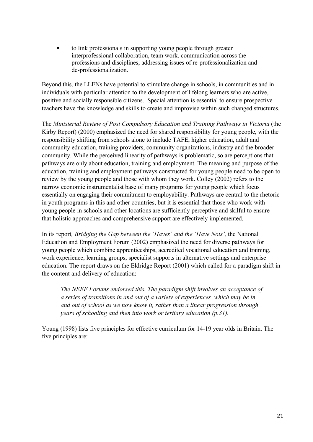ß to link professionals in supporting young people through greater interprofessional collaboration, team work, communication across the professions and disciplines, addressing issues of re-professionalization and de-professionalization.

Beyond this, the LLENs have potential to stimulate change in schools, in communities and in individuals with particular attention to the development of lifelong learners who are active, positive and socially responsible citizens. Special attention is essential to ensure prospective teachers have the knowledge and skills to create and improvise within such changed structures.

The *Ministerial Review of Post Compulsory Education and Training Pathways in Victoria* (the Kirby Report) (2000) emphasized the need for shared responsibility for young people, with the responsibility shifting from schools alone to include TAFE, higher education, adult and community education, training providers, community organizations, industry and the broader community. While the perceived linearity of pathways is problematic, so are perceptions that pathways are only about education, training and employment. The meaning and purpose of the education, training and employment pathways constructed for young people need to be open to review by the young people and those with whom they work. Colley (2002) refers to the narrow economic instrumentalist base of many programs for young people which focus essentially on engaging their commitment to employability. Pathways are central to the rhetoric in youth programs in this and other countries, but it is essential that those who work with young people in schools and other locations are sufficiently perceptive and skilful to ensure that holistic approaches and comprehensive support are effectively implemented.

In its report*, Bridging the Gap between the 'Haves' and the 'Have Nots',* the National Education and Employment Forum (2002) emphasized the need for diverse pathways for young people which combine apprenticeships, accredited vocational education and training, work experience, learning groups, specialist supports in alternative settings and enterprise education. The report draws on the Eldridge Report (2001) which called for a paradigm shift in the content and delivery of education:

*The NEEF Forums endorsed this. The paradigm shift involves an acceptance of a series of transitions in and out of a variety of experiences which may be in and out of school as we now know it, rather than a linear progression through years of schooling and then into work or tertiary education (p.31).* 

Young (1998) lists five principles for effective curriculum for 14-19 year olds in Britain. The five principles are: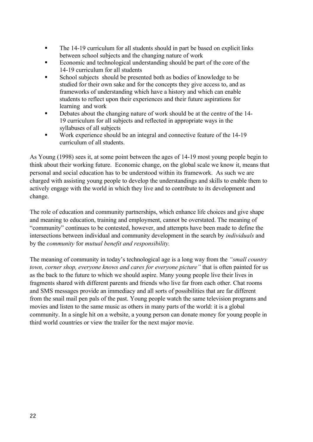- The 14-19 curriculum for all students should in part be based on explicit links between school subjects and the changing nature of work
- ß Economic and technological understanding should be part of the core of the 14-19 curriculum for all students
- ß School subjects should be presented both as bodies of knowledge to be studied for their own sake and for the concepts they give access to, and as frameworks of understanding which have a history and which can enable students to reflect upon their experiences and their future aspirations for learning and work
- ß Debates about the changing nature of work should be at the centre of the 14- 19 curriculum for all subjects and reflected in appropriate ways in the syllabuses of all subjects
- Work experience should be an integral and connective feature of the 14-19 curriculum of all students.

As Young (1998) sees it, at some point between the ages of 14-19 most young people begin to think about their working future. Economic change, on the global scale we know it, means that personal and social education has to be understood within its framework. As such we are charged with assisting young people to develop the understandings and skills to enable them to actively engage with the world in which they live and to contribute to its development and change.

The role of education and community partnerships, which enhance life choices and give shape and meaning to education, training and employment, cannot be overstated. The meaning of "community" continues to be contested, however, and attempts have been made to define the intersections between individual and community development in the search by *individuals* and by the *community* for *mutual benefit and responsibility.*

The meaning of community in today's technological age is a long way from the *"small country town, corner shop, everyone knows and cares for everyone picture"* that is often painted for us as the back to the future to which we should aspire. Many young people live their lives in fragments shared with different parents and friends who live far from each other. Chat rooms and SMS messages provide an immediacy and all sorts of possibilities that are far different from the snail mail pen pals of the past. Young people watch the same television programs and movies and listen to the same music as others in many parts of the world: it is a global community. In a single hit on a website, a young person can donate money for young people in third world countries or view the trailer for the next major movie.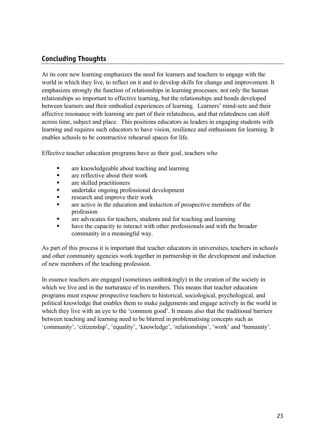### **Concluding Thoughts**

At its core new learning emphasizes the need for learners and teachers to engage with the world in which they live, to reflect on it and to develop skills for change and improvement. It emphasizes strongly the function of relationships in learning processes; not only the human relationships so important to effective learning, but the relationships and bonds developed between learners and their embodied experiences of learning. Learners' mind-sets and their affective resonance with learning are part of their relatedness, and that relatedness can shift across time, subject and place. This positions educators as leaders in engaging students with learning and requires such educators to have vision, resilience and enthusiasm for learning. It enables schools to be constructive rehearsal spaces for life.

Effective teacher education programs have as their goal, teachers who

- ß are knowledgeable about teaching and learning
- ß are reflective about their work
- ß are skilled practitioners
- ß undertake ongoing professional development
- ß research and improve their work
- **Example 2** are active in the education and induction of prospective members of the profession
- ß are advocates for teachers, students and for teaching and learning
- have the capacity to interact with other professionals and with the broader community in a meaningful way.

As part of this process it is important that teacher educators in universities, teachers in schools and other community agencies work together in partnership in the development and induction of new members of the teaching profession.

In essence teachers are engaged (sometimes unthinkingly) in the creation of the society in which we live and in the nurturance of its members. This means that teacher education programs must expose prospective teachers to historical, sociological, psychological, and political knowledge that enables them to make judgements and engage actively in the world in which they live with an eye to the 'common good'. It means also that the traditional barriers between teaching and learning need to be blurred in problematising concepts such as 'community', 'citizenship', 'equality', 'knowledge', 'relationships', 'work' and 'humanity'.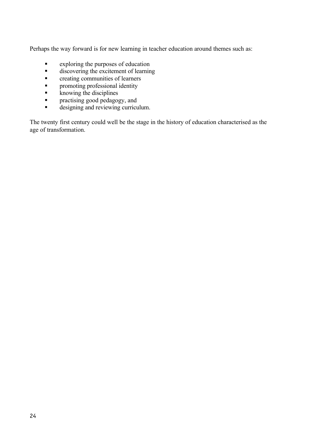Perhaps the way forward is for new learning in teacher education around themes such as:

- $\bullet$  exploring the purposes of education
- $\blacksquare$  discovering the excitement of learning
- $\bullet$  creating communities of learners
- promoting professional identity
- $\overline{\phantom{a}}$  knowing the disciplines
- **•** practising good pedagogy, and<br>designing and reviewing curricular
- ß designing and reviewing curriculum.

The twenty first century could well be the stage in the history of education characterised as the age of transformation.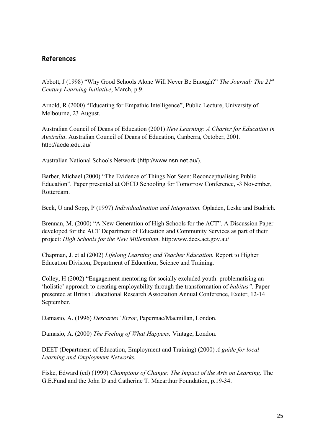#### **References**

Abbott, J (1998) "Why Good Schools Alone Will Never Be Enough?" *The Journal: The 21st Century Learning Initiative*, March, p.9.

Arnold, R (2000) "Educating for Empathic Intelligence", Public Lecture, University of Melbourne, 23 August.

Australian Council of Deans of Education (2001) *New Learning: A Charter for Education in Australia*. Australian Council of Deans of Education, Canberra, October, 2001. http://acde.edu.au/

Australian National Schools Network (http://www.nsn.net.au/).

Barber, Michael (2000) "The Evidence of Things Not Seen: Reconceptualising Public Education". Paper presented at OECD Schooling for Tomorrow Conference, -3 November, Rotterdam.

Beck, U and Sopp, P (1997) *Individualisation and Integration.* Opladen, Leske and Budrich.

Brennan, M. (2000) "A New Generation of High Schools for the ACT". A Discussion Paper developed for the ACT Department of Education and Community Services as part of their project: *High Schools for the New Millennium*. http:www.decs.act.gov.au/

Chapman, J. et al (2002) *Lifelong Learning and Teacher Education.* Report to Higher Education Division, Department of Education, Science and Training.

Colley, H (2002) "Engagement mentoring for socially excluded youth: problematising an 'holistic' approach to creating employability through the transformation of *habitus".* Paper presented at British Educational Research Association Annual Conference, Exeter, 12-14 September.

Damasio, A. (1996) *Descartes' Error*, Papermac/Macmillan, London.

Damasio, A. (2000) *The Feeling of What Happens,* Vintage, London.

DEET (Department of Education, Employment and Training) (2000) *A guide for local Learning and Employment Networks.*

Fiske, Edward (ed) (1999) *Champions of Change: The Impact of the Arts on Learning*. The G.E.Fund and the John D and Catherine T. Macarthur Foundation, p.19-34.